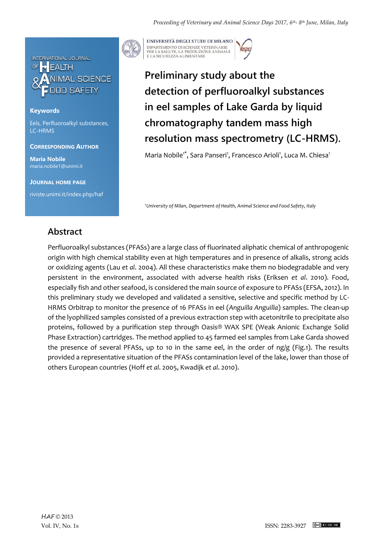

## **Keywords**

Eels, Perfluoroalkyl substances, LC-HRMS

**CORRESPONDING AUTHOR**

**Maria Nobile** maria.nobile1@unimi.it

**JOURNAL HOME PAGE**

riviste.unimi.it/index.php/haf



UNIVERSITÀ DEGLI STUDI DI MILANO DIPARTIMENTO DI SCIENZE VETERINARIE PER LA SALUTE, LA PRODUZIONE ANIMALE<br>E LA SICUREZZA ALIMENTARE

## **Preliminary study about the detection of perfluoroalkyl substances in eel samples of Lake Garda by liquid chromatography tandem mass high resolution mass spectrometry (LC-HRMS).**

Maria Nobile<sup>1\*</sup>, Sara Panseri<sup>1</sup>, Francesco Arioli<sup>1</sup>, Luca M. Chiesa<sup>1</sup>

*<sup>1</sup>University of Milan*, *Department of Health, Animal Science and Food Safety, Italy* 

## **Abstract**

Perfluoroalkyl substances (PFASs) are a large class of fluorinated aliphatic chemical of anthropogenic origin with high chemical stability even at high temperatures and in presence of alkalis, strong acids or oxidizing agents (Lau *et al*. 2004). All these characteristics make them no biodegradable and very persistent in the environment, associated with adverse health risks (Eriksen *et al*. 2010). Food, especially fish and other seafood, is considered the main source of exposure to PFASs (EFSA, 2012). In this preliminary study we developed and validated a sensitive, selective and specific method by LC-HRMS Orbitrap to monitor the presence of 16 PFASs in eel (*Anguilla Anguilla*) samples. The clean-up of the lyophilized samples consisted of a previous extraction step with acetonitrile to precipitate also proteins, followed by a purification step through Oasis® WAX SPE (Weak Anionic Exchange Solid Phase Extraction) cartridges. The method applied to 45 farmed eel samples from Lake Garda showed the presence of several PFASs, up to 10 in the same eel, in the order of ng/g (Fig.1). The results provided a representative situation of the PFASs contamination level of the lake, lower than those of others European countries (Hoff *et al*. 2005, Kwadijk *et al*. 2010).